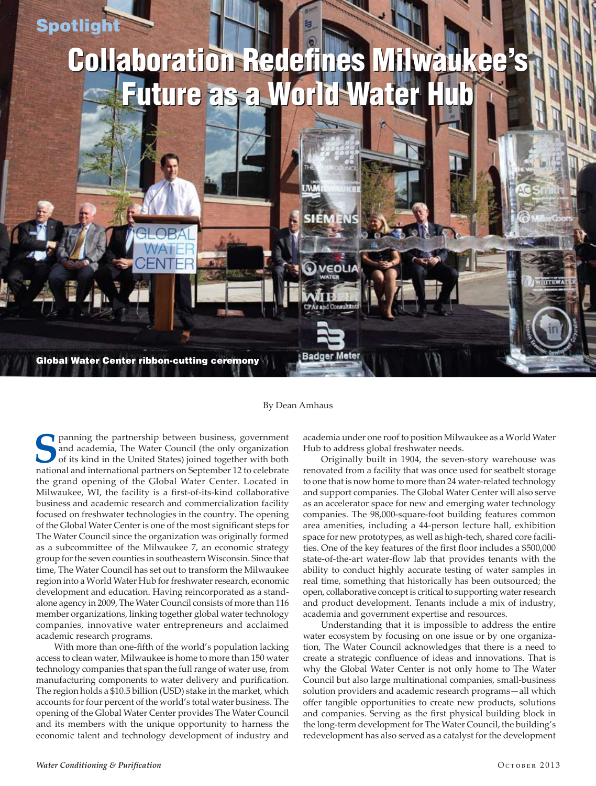## **Spotlight**

## Collaboration Redefines Milwaukee's Collaboration Redefines Milwaukee's **Future as a World Water Hub**

Global Water Center ribbon-cutting ceremony

By Dean Amhaus

**Badger** 

**S** panning the partnership between business, government and academia, The Water Council (the only organization of its kind in the United States) joined together with both national and international partners on September 12 to celebrate the grand opening of the Global Water Center. Located in Milwaukee, WI, the facility is a first-of-its-kind collaborative business and academic research and commercialization facility focused on freshwater technologies in the country. The opening of the Global Water Center is one of the most significant steps for The Water Council since the organization was originally formed as a subcommittee of the Milwaukee 7, an economic strategy group for the seven counties in southeastern Wisconsin. Since that time, The Water Council has set out to transform the Milwaukee region into a World Water Hub for freshwater research, economic development and education. Having reincorporated as a standalone agency in 2009, The Water Council consists of more than 116 member organizations, linking together global water technology companies, innovative water entrepreneurs and acclaimed academic research programs.

With more than one-fifth of the world's population lacking access to clean water, Milwaukee is home to more than 150 water technology companies that span the full range of water use, from manufacturing components to water delivery and purification. The region holds a \$10.5 billion (USD) stake in the market, which accounts for four percent of the world's total water business. The opening of the Global Water Center provides The Water Council and its members with the unique opportunity to harness the economic talent and technology development of industry and

academia under one roof to position Milwaukee as a World Water Hub to address global freshwater needs.

Originally built in 1904, the seven-story warehouse was renovated from a facility that was once used for seatbelt storage to one that is now home to more than 24 water-related technology and support companies. The Global Water Center will also serve as an accelerator space for new and emerging water technology companies. The 98,000-square-foot building features common area amenities, including a 44-person lecture hall, exhibition space for new prototypes, as well as high-tech, shared core facilities. One of the key features of the first floor includes a \$500,000 state-of-the-art water-flow lab that provides tenants with the ability to conduct highly accurate testing of water samples in real time, something that historically has been outsourced; the open, collaborative concept is critical to supporting water research and product development. Tenants include a mix of industry, academia and government expertise and resources.

Understanding that it is impossible to address the entire water ecosystem by focusing on one issue or by one organization, The Water Council acknowledges that there is a need to create a strategic confluence of ideas and innovations. That is why the Global Water Center is not only home to The Water Council but also large multinational companies, small-business solution providers and academic research programs—all which offer tangible opportunities to create new products, solutions and companies. Serving as the first physical building block in the long-term development for The Water Council, the building's redevelopment has also served as a catalyst for the development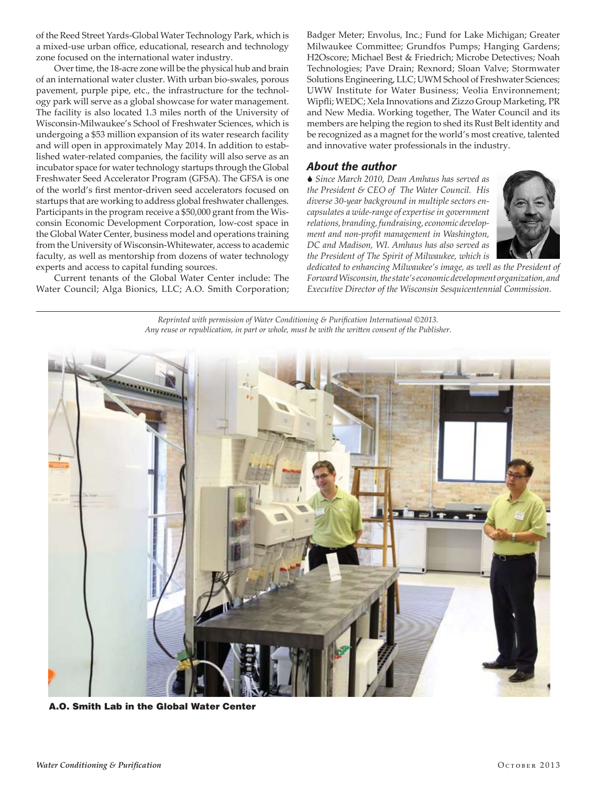of the Reed Street Yards-Global Water Technology Park, which is a mixed-use urban office, educational, research and technology zone focused on the international water industry.

Over time, the 18-acre zone will be the physical hub and brain of an international water cluster. With urban bio-swales, porous pavement, purple pipe, etc., the infrastructure for the technology park will serve as a global showcase for water management. The facility is also located 1.3 miles north of the University of Wisconsin-Milwaukee's School of Freshwater Sciences, which is undergoing a \$53 million expansion of its water research facility and will open in approximately May 2014. In addition to established water-related companies, the facility will also serve as an incubator space for water technology startups through the Global Freshwater Seed Accelerator Program (GFSA). The GFSA is one of the world's first mentor-driven seed accelerators focused on startups that are working to address global freshwater challenges. Participants in the program receive a \$50,000 grant from the Wisconsin Economic Development Corporation, low-cost space in the Global Water Center, business model and operations training from the University of Wisconsin-Whitewater, access to academic faculty, as well as mentorship from dozens of water technology experts and access to capital funding sources.

Current tenants of the Global Water Center include: The Water Council; Alga Bionics, LLC; A.O. Smith Corporation;

Badger Meter; Envolus, Inc.; Fund for Lake Michigan; Greater Milwaukee Committee; Grundfos Pumps; Hanging Gardens; H2Oscore; Michael Best & Friedrich; Microbe Detectives; Noah Technologies; Pave Drain; Rexnord; Sloan Valve; Stormwater Solutions Engineering, LLC; UWM School of Freshwater Sciences; UWW Institute for Water Business; Veolia Environnement; Wipfli; WEDC; Xela Innovations and Zizzo Group Marketing, PR and New Media. Working together, The Water Council and its members are helping the region to shed its Rust Belt identity and be recognized as a magnet for the world's most creative, talented and innovative water professionals in the industry.

## *About the author*

S *Since March 2010, Dean Amhaus has served as the President & CEO of The Water Council. His diverse 30-year background in multiple sectors encapsulates a wide-range of expertise in government relations, branding, fundraising, economic development and non-profit management in Washington, DC and Madison, WI. Amhaus has also served as the President of The Spirit of Milwaukee, which is* 



*dedicated to enhancing Milwaukee's image, as well as the President of Forward Wisconsin, the state's economic development organization, and Executive Director of the Wisconsin Sesquicentennial Commission.* 

*Reprinted with permission of Water Conditioning & Purification International ©2013. Any reuse or republication, in part or whole, must be with the written consent of the Publisher.*



A.O. Smith Lab in the Global Water Center